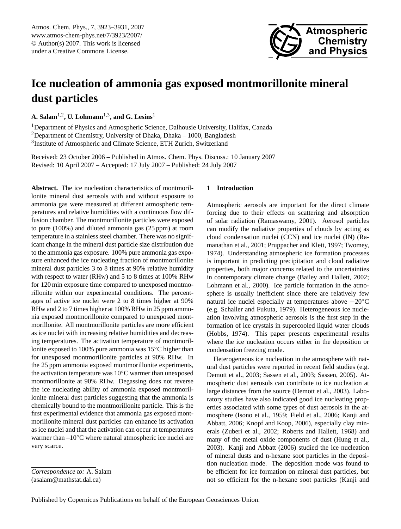

# <span id="page-0-0"></span>**Ice nucleation of ammonia gas exposed montmorillonite mineral dust particles**

**A. Salam**1,2**, U. Lohmann**1,3**, and G. Lesins**<sup>1</sup>

<sup>1</sup>Department of Physics and Atmospheric Science, Dalhousie University, Halifax, Canada <sup>2</sup>Department of Chemistry, University of Dhaka, Dhaka – 1000, Bangladesh <sup>3</sup>Institute of Atmospheric and Climate Science, ETH Zurich, Switzerland

Received: 23 October 2006 – Published in Atmos. Chem. Phys. Discuss.: 10 January 2007 Revised: 10 April 2007 – Accepted: 17 July 2007 – Published: 24 July 2007

**Abstract.** The ice nucleation characteristics of montmorillonite mineral dust aerosols with and without exposure to ammonia gas were measured at different atmospheric temperatures and relative humidities with a continuous flow diffusion chamber. The montmorillonite particles were exposed to pure (100%) and diluted ammonia gas (25 ppm) at room temperature in a stainless steel chamber. There was no significant change in the mineral dust particle size distribution due to the ammonia gas exposure. 100% pure ammonia gas exposure enhanced the ice nucleating fraction of montmorillonite mineral dust particles 3 to 8 times at 90% relative humidity with respect to water (RHw) and 5 to 8 times at 100% RHw for 120 min exposure time compared to unexposed montmorillonite within our experimental conditions. The percentages of active ice nuclei were 2 to 8 times higher at 90% RHw and 2 to 7 times higher at 100% RHw in 25 ppm ammonia exposed montmorillonite compared to unexposed montmorillonite. All montmorillonite particles are more efficient as ice nuclei with increasing relative humidities and decreasing temperatures. The activation temperature of montmorillonite exposed to 100% pure ammonia was 15◦C higher than for unexposed montmorillonite particles at 90% RHw. In the 25 ppm ammonia exposed montmorillonite experiments, the activation temperature was 10◦C warmer than unexposed montmorillonite at 90% RHw. Degassing does not reverse the ice nucleating ability of ammonia exposed montmorillonite mineral dust particles suggesting that the ammonia is chemically bound to the montmorillonite particle. This is the first experimental evidence that ammonia gas exposed montmorillonite mineral dust particles can enhance its activation as ice nuclei and that the activation can occur at temperatures warmer than –10◦C where natural atmospheric ice nuclei are very scarce.

*Correspondence to:* A. Salam (asalam@mathstat.dal.ca)

#### **1 Introduction**

Atmospheric aerosols are important for the direct climate forcing due to their effects on scattering and absorption of solar radiation (Ramaswamy, 2001). Aerosol particles can modify the radiative properties of clouds by acting as cloud condensation nuclei (CCN) and ice nuclei (IN) (Ramanathan et al., 2001; Pruppacher and Klett, 1997; Twomey, 1974). Understanding atmospheric ice formation processes is important in predicting precipitation and cloud radiative properties, both major concerns related to the uncertainties in contemporary climate change (Bailey and Hallett, 2002; Lohmann et al., 2000). Ice particle formation in the atmosphere is usually inefficient since there are relatively few natural ice nuclei especially at temperatures above −20◦C (e.g. Schaller and Fukuta, 1979). Heterogeneous ice nucleation involving atmospheric aerosols is the first step in the formation of ice crystals in supercooled liquid water clouds (Hobbs, 1974). This paper presents experimental results where the ice nucleation occurs either in the deposition or condensation freezing mode.

Heterogeneous ice nucleation in the atmosphere with natural dust particles were reported in recent field studies (e.g. Demott et al., 2003; Sassen et al., 2003; Sassen, 2005). Atmospheric dust aerosols can contribute to ice nucleation at large distances from the source (Demott et al., 2003). Laboratory studies have also indicated good ice nucleating properties associated with some types of dust aerosols in the atmosphere (Isono et al., 1959; Field et al., 2006; Kanji and Abbatt, 2006; Knopf and Koop, 2006), especially clay minerals (Zuberi et al., 2002; Roberts and Hallett, 1968) and many of the metal oxide components of dust (Hung et al., 2003). Kanji and Abbatt (2006) studied the ice nucleation of mineral dusts and n-hexane soot particles in the deposition nucleation mode. The deposition mode was found to be efficient for ice formation on mineral dust particles, but not so efficient for the n-hexane soot particles (Kanji and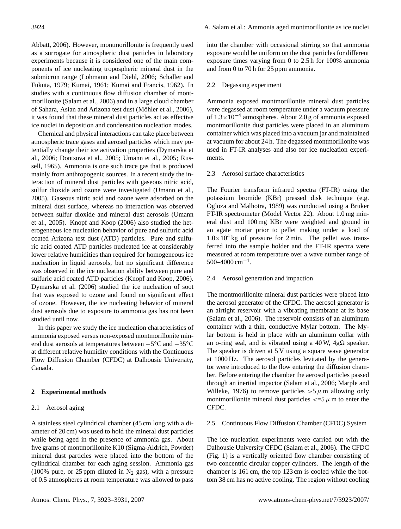Abbatt, 2006). However, montmorillonite is frequently used as a surrogate for atmospheric dust particles in laboratory experiments because it is considered one of the main components of ice nucleating tropospheric mineral dust in the submicron range (Lohmann and Diehl, 2006; Schaller and Fukuta, 1979; Kumai, 1961; Kumai and Francis, 1962). In studies with a continuous flow diffusion chamber of montmorillonite (Salam et al., 2006) and in a large cloud chamber of Sahara, Asian and Arizona test dust (Möhler et al., 2006), it was found that these mineral dust particles act as effective ice nuclei in deposition and condensation nucleation modes.

Chemical and physical interactions can take place between atmospheric trace gases and aerosol particles which may potentially change their ice activation properties (Dymarska et al., 2006; Dontsova et al., 2005; Umann et al., 2005; Russell, 1965). Ammonia is one such trace gas that is produced mainly from anthropogenic sources. In a recent study the interaction of mineral dust particles with gaseous nitric acid, sulfur dioxide and ozone were investigated (Umann et al., 2005). Gaseous nitric acid and ozone were adsorbed on the mineral dust surface, whereas no interaction was observed between sulfur dioxide and mineral dust aerosols (Umann et al., 2005). Knopf and Koop (2006) also studied the heterogeneous ice nucleation behavior of pure and sulfuric acid coated Arizona test dust (ATD) particles. Pure and sulfuric acid coated ATD particles nucleated ice at considerably lower relative humidities than required for homogeneous ice nucleation in liquid aerosols, but no significant difference was observed in the ice nucleation ability between pure and sulfuric acid coated ATD particles (Knopf and Koop, 2006). Dymarska et al. (2006) studied the ice nucleation of soot that was exposed to ozone and found no significant effect of ozone. However, the ice nucleating behavior of mineral dust aerosols due to exposure to ammonia gas has not been studied until now.

In this paper we study the ice nucleation characteristics of ammonia exposed versus non-exposed montmorillonite mineral dust aerosols at temperatures between −5 ◦C and −35◦C at different relative humidity conditions with the Continuous Flow Diffusion Chamber (CFDC) at Dalhousie University, Canada.

#### **2 Experimental methods**

## 2.1 Aerosol aging

A stainless steel cylindrical chamber (45 cm long with a diameter of 20 cm) was used to hold the mineral dust particles while being aged in the presence of ammonia gas. About five grams of montmorillonite K10 (Sigma-Aldrich, Powder) mineral dust particles were placed into the bottom of the cylindrical chamber for each aging session. Ammonia gas (100% pure, or 25 ppm diluted in  $N_2$  gas), with a pressure of 0.5 atmospheres at room temperature was allowed to pass into the chamber with occasional stirring so that ammonia exposure would be uniform on the dust particles for different exposure times varying from 0 to 2.5 h for 100% ammonia and from 0 to 70 h for 25 ppm ammonia.

#### 2.2 Degassing experiment

Ammonia exposed montmorillonite mineral dust particles were degassed at room temperature under a vacuum pressure of 1.3×10−<sup>4</sup> atmospheres. About 2.0 g of ammonia exposed montmorillonite dust particles were placed in an aluminum container which was placed into a vacuum jar and maintained at vacuum for about 24 h. The degassed montmorillonite was used in FT-IR analyses and also for ice nucleation experiments.

# 2.3 Aerosol surface characteristics

The Fourier transform infrared spectra (FT-IR) using the potassium bromide (KBr) pressed disk technique (e.g. Ogloza and Malhotra, 1989) was conducted using a Bruker FT-IR spectrometer (Model Vector 22). About 1.0 mg mineral dust and 100 mg KBr were weighted and ground in an agate mortar prior to pellet making under a load of  $1.0\times10^4$  kg of pressure for 2 min. The pellet was transferred into the sample holder and the FT-IR spectra were measured at room temperature over a wave number range of  $500-4000$  cm<sup>-1</sup>.

#### 2.4 Aerosol generation and impaction

The montmorillonite mineral dust particles were placed into the aerosol generator of the CFDC. The aerosol generator is an airtight reservoir with a vibrating membrane at its base (Salam et al., 2006). The reservoir consists of an aluminum container with a thin, conductive Mylar bottom. The Mylar bottom is held in place with an aluminum collar with an o-ring seal, and is vibrated using a 40 W,  $4g\Omega$  speaker. The speaker is driven at 5 V using a square wave generator at 1000 Hz. The aerosol particles levitated by the generator were introduced to the flow entering the diffusion chamber. Before entering the chamber the aerosol particles passed through an inertial impactor (Salam et al., 2006; Marple and Willeke, 1976) to remove particles  $>5 \mu$  m allowing only montmorillonite mineral dust particles  $\lt = 5 \mu$  m to enter the CFDC.

#### 2.5 Continuous Flow Diffusion Chamber (CFDC) System

The ice nucleation experiments were carried out with the Dalhousie University CFDC (Salam et al., 2006). The CFDC (Fig. 1) is a vertically oriented flow chamber consisting of two concentric circular copper cylinders. The length of the chamber is 161 cm, the top 123 cm is cooled while the bottom 38 cm has no active cooling. The region without cooling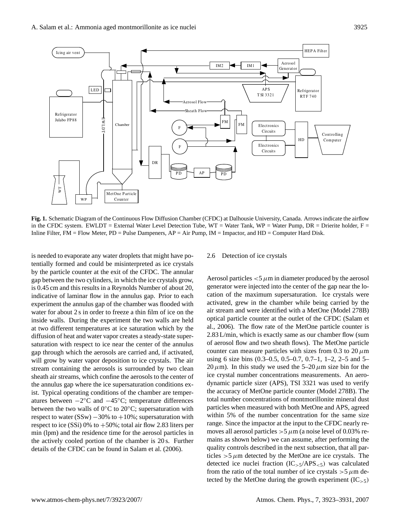

in the CFDC system. EWLDT = External Water Level Detection Tube, WT = Water Tank, WP = Water Pump, DR = Drierite holder, F = **Fig. 1.** Schematic Diagram of the Continuous Flow Diffusion Chamber (CFDC) at Dalhousie University, Canada. Arrows indicate the airflow Inline Filter, FM = Flow Meter, PD = Pulse Dampeners, AP = Air Pump, IM = Impactor, and HD = Computer Hard Disk.

details of the CFDC can be found in Salam et al. (2006).  $q\ddot{q}$ tentially formed and could be misinterpreted as ice crystals gap between the two cylinders, in which the ice crystals grow, Aerosol particles  $<$  5  $\mu$ m in diameter produced indicative of laminar flow in the annulus gap. Prior to each cation water for about  $2 \sin \theta$  order to freeze a thin film of ice on the thin  $\sin \theta$  is the problem of the theory in the theory is the set at two diffusion of heat and water vapor creates a steady-state supergap through which the aerosols are carried and, if activated, stream containing the aerosols is surrounded by two clean the annulus gap where the ice supersaturation conditions exatures between  $-2$ °C and  $-45$ °C; temperature differences is needed to evaporate any water droplets that might have poby the particle counter at the exit of the CFDC. The annular is 0.45 cm and this results in a Reynolds Number of about 20, experiment the annulus gap of the chamber was flooded with inside walls. During the experiment the two walls are held at two different temperatures at ice saturation which by the saturation with respect to ice near the center of the annulus will grow by water vapor deposition to ice crystals. The air sheath air streams, which confine the aerosols to the center of ist. Typical operating conditions of the chamber are temperbetween the two walls of  $0^{\circ}$ C to  $20^{\circ}$ C; supersaturation with respect to water  $(SSw) -30\%$  to  $+10\%$ ; supersaturation with respect to ice  $(SSi)$  0% to  $+50%$ ; total air flow 2.83 liters per min (lpm) and the residence time for the aerosol particles in the actively cooled portion of the chamber is 20 s. Further

#### 2.6 Detection of ice crystals

Aerosol particles  $<$  5  $\mu$ m in diameter produced by the aerosol generator were injected into the center of the gap near the location of the maximum supersaturation. Ice crystals were activated, grew in the chamber while being carried by the air stream and were identified with a MetOne (Model 278B) optical particle counter at the outlet of the CFDC (Salam et al., 2006). The flow rate of the MetOne particle counter is 2.83 L/min, which is exactly same as our chamber flow (sum of aerosol flow and two sheath flows). The MetOne particle counter can measure particles with sizes from 0.3 to 20  $\mu$ m using 6 size bins (0.3–0.5, 0.5–0.7, 0.7–1, 1–2, 2–5 and 5– 20  $\mu$ m). In this study we used the 5–20  $\mu$ m size bin for the ice crystal number concentrations measurements. An aerodynamic particle sizer (APS), TSI 3321 was used to verify the accuracy of MetOne particle counter (Model 278B). The total number concentrations of montmorillonite mineral dust particles when measured with both MetOne and APS, agreed within 5% of the number concentration for the same size range. Since the impactor at the input to the CFDC nearly removes all aerosol particles  $>5 \mu$ m (a noise level of 0.03% remains as shown below) we can assume, after performing the quality controls described in the next subsection, that all particles  $>5 \mu$ m detected by the MetOne are ice crystals. The detected ice nuclei fraction  $(IC_{>5}/APS_{<5})$  was calculated from the ratio of the total number of ice crystals  $>5 \mu$ m detected by the MetOne during the growth experiment  $(IC_{>5})$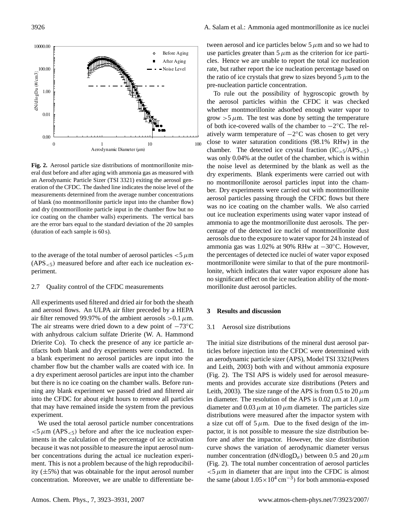

eral dust before and after aging with ammonia gas as measured with dry experim eration of the CFDC. The dashed line indicates the noise level of the  $\qquad \qquad \text{ber.}$  Dry exi of blank (no montmorillonite particle input into the chamber flow)  $\frac{\text{arcosor part}}{\text{was no ice}}$ ice coating on the chamber walls) experiments. The vertical bars our lieu nuclear  $($ duration of each sample is  $60 \text{ s}$ ).  $\qquad \qquad \text{centage of}$ **Fig. 2.** Aerosol particle size distributions of montmorillonite minan Aerodynamic Particle Sizer (TSI 3321) exiting the aerosol genmeasurements determined from the average number concentrations and dry (montmorillonite particle input in the chamber flow but no are the error bars equal to the standard deviation of the 20 samples

 $(APS_{< 5})$  measured before and after each ice nucleation ex-<br>montmorillo to the average of the total number of aerosol particles  $<$  5  $\mu$ m periment.

#### 2.7 Quality control of the CFDC measurements

into the CFDC for about eight hours to remove all particles All experiments used filtered and dried air for both the sheath and aerosol flows. An ULPA air filter preceded by a HEPA air filter removed 99.97% of the ambient aerosols  $>0.1 \mu$ m. The air streams were dried down to a dew point of  $-73°C$ with anhydrous calcium sulfate Drierite (W. A. Hammond Drierite Co). To check the presence of any ice particle artifacts both blank and dry experiments were conducted. In a blank experiment no aerosol particles are input into the chamber flow but the chamber walls are coated with ice. In a dry experiment aerosol particles are input into the chamber but there is no ice coating on the chamber walls. Before running any blank experiment we passed dried and filtered air that may have remained inside the system from the previous experiment.

We used the total aerosol particle number concentrations  $<$  5  $\mu$ m (APS<sub> $<$ 5</sub>) before and after the ice nucleation experiments in the calculation of the percentage of ice activation because it was not possible to measure the input aerosol number concentrations during the actual ice nucleation experiment. This is not a problem because of the high reproducibility  $(\pm 5\%)$  that was obtainable for the input aerosol number concentration. Moreover, we are unable to differentiate between aerosol and ice particles below  $5 \mu m$  and so we had to use particles greater than  $5 \mu m$  as the criterion for ice particles. Hence we are unable to report the total ice nucleation rate, but rather report the ice nucleation percentage based on the ratio of ice crystals that grew to sizes beyond  $5 \mu m$  to the pre-nucleation particle concentration.

 $\frac{1}{2}$  in the chamber flow but no ice coating on the chamber walls on the chamber walls on the chamber  $\frac{1}{2}$  is a chamber walls of the chamber walls of the chamber walls of the chamber walls of the chamber of the ch To rule out the possibility of hygroscopic growth by the aerosol particles within the CFDC it was checked whether montmorillonite adsorbed enough water vapor to grow  $>5 \mu$ m. The test was done by setting the temperature of both ice-covered walls of the chamber to  $-2$ °C. The relatively warm temperature of  $-2$ °C was chosen to get very close to water saturation conditions (98.1% RHw) in the chamber. The detected ice crystal fraction  $(IC_{>5}/APS_{<5})$ was only 0.04% at the outlet of the chamber, which is within the noise level as determined by the blank as well as the dry experiments. Blank experiments were carried out with no montmorillonite aerosol particles input into the chamber. Dry experiments were carried out with montmorillonite aerosol particles passing through the CFDC flows but there was no ice coating on the chamber walls. We also carried out ice nucleation experiments using water vapor instead of ammonia to age the montmorillonite dust aerosols. The percentage of the detected ice nuclei of montmorillonite dust aerosols due to the exposure to water vapor for 24 h instead of ammonia gas was 1.02% at 90% RHw at −30◦C. However, the percentages of detected ice nuclei of water vapor exposed montmorillonite were similar to that of the pure montmorillonite, which indicates that water vapor exposure alone has no significant effect on the ice nucleation ability of the montmorillonite dust aerosol particles.

#### **3 Results and discussion**

#### 3.1 Aerosol size distributions

The initial size distributions of the mineral dust aerosol particles before injection into the CFDC were determined with an aerodynamic particle sizer (APS), Model TSI 3321(Peters and Leith, 2003) both with and without ammonia exposure (Fig. 2). The TSI APS is widely used for aerosol measurements and provides accurate size distributions (Peters and Leith, 2003). The size range of the APS is from 0.5 to 20  $\mu$ m in diameter. The resolution of the APS is  $0.02 \mu$ m at  $1.0 \mu$ m diameter and 0.03  $\mu$ m at 10  $\mu$ m diameter. The particles size distributions were measured after the impactor system with a size cut off of  $5 \mu$ m. Due to the fixed design of the impactor, it is not possible to measure the size distribution before and after the impactor. However, the size distribution curve shows the variation of aerodynamic diameter versus number concentration (dN/dlogD<sub>a</sub>) between 0.5 and 20  $\mu$ m (Fig. 2). The total number concentration of aerosol particles  $<$  5  $\mu$ m in diameter that are input into the CFDC is almost the same (about  $1.05 \times 10^4$  cm<sup>-3</sup>) for both ammonia-exposed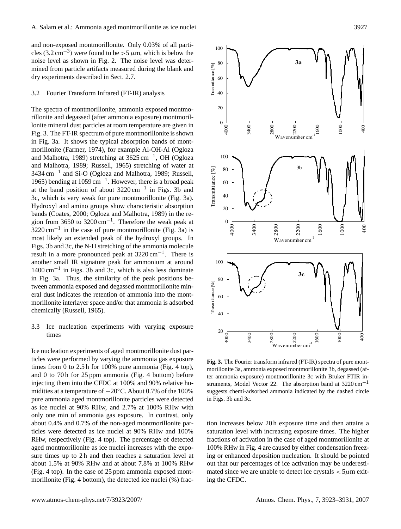and non-exposed montmorillonite. Only 0.03% of all particles (3.2 cm<sup>-3</sup>) were found to be > 5  $\mu$ m, which is below the noise level as shown in Fig. 2. The noise level was determined from particle artifacts measured during the blank and dry experiments described in Sect. 2.7.

#### 3.2 Fourier Transform Infrared (FT-IR) analysis

The spectra of montmorillonite, ammonia exposed montmorillonite and degassed (after ammonia exposure) montmorillonite mineral dust particles at room temperature are given in Fig. 3. The FT-IR spectrum of pure montmorillonite is shown in Fig. 3a. It shows the typical absorption bands of montmorillonite (Farmer, 1974), for example Al-OH-Al (Ogloza and Malhotra, 1989) stretching at 3625 cm−<sup>1</sup> , OH (Ogloza and Malhotra, 1989; Russell, 1965) stretching of water at 3434 cm−<sup>1</sup> and Si-O (Ogloza and Malhotra, 1989; Russell, 1965) bending at 1059 cm−<sup>1</sup> . However, there is a broad peak at the band position of about 3220 cm−<sup>1</sup> in Figs. 3b and 3c, which is very weak for pure montmorillonite (Fig. 3a). Hydroxyl and amino groups show characteristic absorption bands (Coates, 2000; Ogloza and Malhotra, 1989) in the region from 3650 to 3200 cm<sup>-1</sup>. Therefore the weak peak at  $3220 \text{ cm}^{-1}$  in the case of pure montmorillonite (Fig. 3a) is most likely an extended peak of the hydroxyl groups. In Figs. 3b and 3c, the N-H stretching of the ammonia molecule result in a more pronounced peak at 3220 cm−<sup>1</sup> . There is another small IR signature peak for ammonium at around 1400 cm−<sup>1</sup> in Figs. 3b and 3c, which is also less dominate in Fig. 3a. Thus, the similarity of the peak positions between ammonia exposed and degassed montmorillonite mineral dust indicates the retention of ammonia into the montmorillonite interlayer space and/or that ammonia is adsorbed chemically (Russell, 1965).

# 3.3 Ice nucleation experiments with varying exposure times

Ice nucleation experiments of aged montmorillonite dust particles were performed by varying the ammonia gas exposure times from 0 to 2.5 h for 100% pure ammonia (Fig. 4 top), and 0 to 70 h for  $25$  ppm ammonia (Fig. 4 bottom) before injecting them into the CFDC at 100% and 90% relative humidities at a temperature of −20◦C. About 0.7% of the 100% pure ammonia aged montmorillonite particles were detected in Figs. 3b and 3c. as ice nuclei at 90% RHw, and 2.7% at 100% RHw with only one min of ammonia gas exposure. In contrast, only about 0.4% and 0.7% of the non-aged montmorillonite particles were detected as ice nuclei at 90% RHw and 100% RHw, respectively (Fig. 4 top). The percentage of detected aged montmorillonite as ice nuclei increases with the exposure times up to 2h and then reaches a saturation level at about 1.5% at 90% RHw and at about 7.8% at 100% RHw (Fig. 4 top). In the case of 25 ppm ammonia exposed montmorillonite (Fig. 4 bottom), the detected ice nuclei (%) frac-



the fig. 3. The Fourier transform infrared (FT-IR) spectra of pure mont-<br>pure ammonia (Fig. 4 top). The Fourier transform infrared (FT-IR) spectra of pure mont-100% and 90% relative hu-struments, Model Vector 22. The absorption band at 3220 cm<sup>-1</sup> morillonite 3a, ammonia exposed montmorillonite 3b, degassed (after ammonia exposure) montmorillonite 3c with Bruker FTIR insuggests chemi-adsorbed ammonia indicated by the dashed circle in Figs. 3b and 3c.

mated since we are unable to detect ice crystals  $\lt 5\mu$ m exit-<br>ing the CEDC <sub>there</sub> american conducts chemicated and the dashed capes and 3c. and 3c. and 3c. and 3c. and 3c. and 3c. and 3c. **a** saturation level with increasing exposure times. The higher fractions of activation in the case of aged montmorillonite at 100% RHw in Fig. 4 are caused by either condensation freezing or enhanced deposition nucleation. It should be pointed out that our percentages of ice activation may be underestiing the CFDC.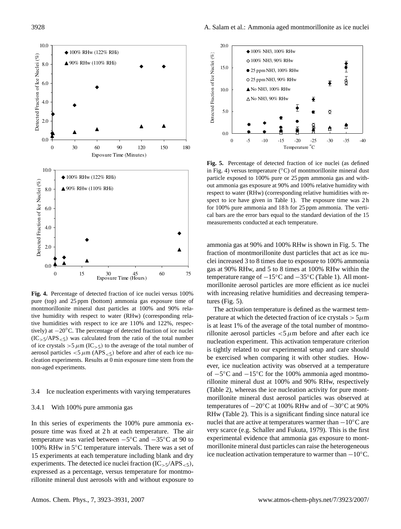

Figure 4. Percentage of detection ammonia gas exposure time of tures (Fig. 5). tive humidity with respect to water (RHw) (corresponding rela-<br>time humidities with respect to i.e. are 1100% and 120% groups.  $(IC_{>5}/APS_{<5})$  was calculated from the ratio of the total number<br>mucleation experiment aerosol particles  $\lt 5 \mu$ m (APS $\lt 5$ ) before and after of each ice nu-<br>election experiments. Besults at 0 min expecture time atom from the exercised when co **Fig. 4.** Percentage of detected fraction of ice nuclei versus 100% montmorillonite mineral dust particles at 100% and 90% relative humidities with respect to ice are 110% and 122%, respectively) at −20◦C. The percentage of detected fraction of ice nuclei of ice crystals  $>5 \mu m (IC_{>5})$  to the average of the total number of cleation experiments. Results at 0 min exposure time stem from the non-aged experiments.

# 3.4 Ice nucleation experiments with varying temperatures (Iable 2), whereas the morillonite mineral c

#### 3.4.1 With 100% pure ammonia gas

posure time was fixed at 2 h at each temperature. The air In this series of experiments the 100% pure ammonia extemperature was varied between −5 ◦C and −35◦C at 90 to 100% RHw in 5◦C temperature intervals. There was a set of 15 experiments at each temperature including blank and dry experiments. The detected ice nuclei fraction  $(IC_{>5}/APS_{<5}),$ expressed as a percentage, versus temperature for montmorillonite mineral dust aerosols with and without exposure to



Fig. 5. Percentage of detected fraction of ice nuclei (as defined particle exposed to 100% pure or 25 ppm ammonia gas and withrespect to water (RHw) (corresponding relative humidities with refor 100% pure ammonia and 18 h for 25 ppm ammonia. The vertimeasurements conducted at each temperature. in Fig. 4) versus temperature ( $\rm ^{\circ}C$ ) of montmorillonite mineral dust out ammonia gas exposure at 90% and 100% relative humidity with spect to ice have given in Table 1). The exposure time was 2 h cal bars are the error bars equal to the standard deviation of the 15

fraction of montmorillonite dust particles that act as ice nuammonia gas at 90% and 100% RHw is shown in Fig. 5. The clei increased 3 to 8 times due to exposure to 100% ammonia gas at 90% RHw, and 5 to 8 times at 100% RHw within the temperature range of −15◦C and −35◦C (Table 1). All montmorillonite aerosol particles are more efficient as ice nuclei with increasing relative humidities and decreasing temperatures (Fig. 5).

 $5^\circ$ C and  $-15^\circ$ C for the 100% ammonia aged montmo- $\overline{R}$  (Table 2). This is a significant finding since natural ice nuclear inding since natural ice (Table 2), whereas the ice nucleation activity for pure mont-The activation temperature is defined as the warmest temperature at which the detected fraction of ice crystals  $> 5 \mu$ m is at least 1% of the average of the total number of montmorillonite aerosol particles  $\lt 5 \mu$ m before and after each ice nucleation experiment. This activation temperature criterion is tightly related to our experimental setup and care should be exercised when comparing it with other studies. However, ice nucleation activity was observed at a temperature rillonite mineral dust at 100% and 90% RHw, respectively morillonite mineral dust aerosol particles was observed at temperatures of −20◦C at 100% RHw and of −30◦C at 90% nuclei that are active at temperatures warmer than −10<sup>°</sup>C are very scarce (e.g. Schaller and Fukuta, 1979). This is the first experimental evidence that ammonia gas exposure to montmorillonite mineral dust particles can raise the heterogeneous ice nucleation activation temperature to warmer than  $-10^{\circ}$ C.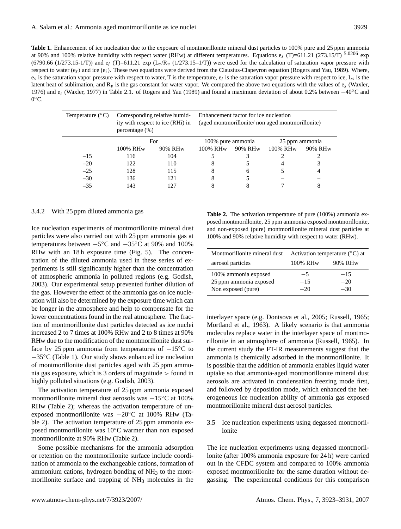| <b>Table 1.</b> Enhancement of ice nucleation due to the exposure of montmorillonite mineral dust particles to 100% pure and 25 ppm ammonia                         |
|---------------------------------------------------------------------------------------------------------------------------------------------------------------------|
| at 90% and 100% relative humidity with respect water (RHw) at different temperatures. Equations $e_s$ (T)=611.21 (273.15/T) $^{5.0206}$ exp                         |
| $(6790.66 (1/273.15-1/T))$ and $e_i$ (T)=611.21 exp (L <sub>s</sub> /R <sub>v</sub> (1/273.15–1/T)) were used for the calculation of saturation vapor pressure with |
| respect to water $(e_s)$ and ice $(e_i)$ . These two equations were derived from the Clausius-Clapeyron equation (Rogers and Yau, 1989). Where,                     |
| $e_s$ is the saturation vapor pressure with respect to water, T is the temperature, $e_i$ is the saturation vapor pressure with respect to ice, $L_s$ is the        |
| latent heat of sublimation, and $R_v$ is the gas constant for water vapor. We compared the above two equations with the values of $e_s$ (Waxler,                    |
| 1976) and $e_i$ (Waxler, 1977) in Table 2.1. of Rogers and Yau (1989) and found a maximum deviation of about 0.2% between $-40^{\circ}$ C and                       |
| $0^{\circ}$ C.                                                                                                                                                      |

| Temperature $(^{\circ}C)$ | Corresponding relative humid-<br>ity with respect to ice (RHi) in<br>percentage $(\%)$ |         | Enhancement factor for ice nucleation<br>(aged montmorillonite/non aged montmorillonite) |         |                      |         |
|---------------------------|----------------------------------------------------------------------------------------|---------|------------------------------------------------------------------------------------------|---------|----------------------|---------|
|                           | For                                                                                    |         | 100% pure ammonia                                                                        |         | 25 ppm ammonia       |         |
|                           | 100% RHw                                                                               | 90% RHw | 100% RH <sub>w</sub>                                                                     | 90% RHw | 100% RH <sub>w</sub> | 90% RHw |
| $-15$                     | 116                                                                                    | 104     |                                                                                          |         |                      |         |
| $-20$                     | 122                                                                                    | 110     |                                                                                          |         |                      |         |
| $-25$                     | 128                                                                                    | 115     | 8                                                                                        | 6       |                      | 4       |
| $-30$                     | 136                                                                                    | 121     | 8                                                                                        |         |                      |         |
| $-35$                     | 143                                                                                    | 127     |                                                                                          |         |                      | 8       |

## 3.4.2 With 25 ppm diluted ammonia gas

Ice nucleation experiments of montmorillonite mineral dust particles were also carried out with 25 ppm ammonia gas at temperatures between  $-5^{\circ}\text{C}$  and  $-35^{\circ}\text{C}$  at 90% and 100% RHw with an 18h exposure time (Fig. 5). The concentration of the diluted ammonia used in these series of experiments is still significantly higher than the concentration of atmospheric ammonia in polluted regions (e.g. Godish, 2003). Our experimental setup prevented further dilution of the gas. However the effect of the ammonia gas on ice nucleation will also be determined by the exposure time which can be longer in the atmosphere and help to compensate for the lower concentrations found in the real atmosphere. The fraction of montmorillonite dust particles detected as ice nuclei increased 2 to 7 times at 100% RHw and 2 to 8 times at 90% RHw due to the modification of the montmorillonite dust surface by 25 ppm ammonia from temperatures of  $-15\degree C$  to −35◦C (Table 1). Our study shows enhanced ice nucleation of montmorillonite dust particles aged with 25 ppm ammonia gas exposure, which is 3 orders of magnitude > found in highly polluted situations (e.g. Godish, 2003).

The activation temperature of 25 ppm ammonia exposed montmorillonite mineral dust aerosols was −15◦C at 100% RHw (Table 2); whereas the activation temperature of unexposed montmorillonite was −20◦C at 100% RHw (Table 2). The activation temperature of 25 ppm ammonia exposed montmorillonite was 10◦C warmer than non exposed montmorillonite at 90% RHw (Table 2).

Some possible mechanisms for the ammonia adsorption or retention on the montmorillonite surface include coordination of ammonia to the exchangeable cations, formation of ammonium cations, hydrogen bonding of  $NH<sub>3</sub>$  to the montmorillonite surface and trapping of  $NH<sub>3</sub>$  molecules in the

**Table 2.** The activation temperature of pure (100%) ammonia exposed montmorillonite, 25 ppm ammonia exposed montmorillonite, and non-exposed (pure) montmorillonite mineral dust particles at 100% and 90% relative humidity with respect to water (RHw).

| Montmorillonite mineral dust | Activation temperature $({}^{\circ}C)$ at |         |
|------------------------------|-------------------------------------------|---------|
| aerosol particles            | 100% RHw                                  | 90% RHw |
| 100% ammonia exposed         | $-5$                                      | $-15$   |
| 25 ppm ammonia exposed       | $-15$                                     | $-20$   |
| Non exposed (pure)           | $-20$                                     | $-30$   |

interlayer space (e.g. Dontsova et al., 2005; Russell, 1965; Mortland et al., 1963). A likely scenario is that ammonia molecules replace water in the interlayer space of montmorillonite in an atmosphere of ammonia (Russell, 1965). In the current study the FT-IR measurements suggest that the ammonia is chemically adsorbed in the montmorillonite. It is possible that the addition of ammonia enables liquid water uptake so that ammonia-aged montmorillonite mineral dust aerosols are activated in condensation freezing mode first, and followed by deposition mode, which enhanced the heterogeneous ice nucleation ability of ammonia gas exposed montmorillonite mineral dust aerosol particles.

3.5 Ice nucleation experiments using degassed montmorillonite

The ice nucleation experiments using degassed montmorillonite (after 100% ammonia exposure for 24 h) were carried out in the CFDC system and compared to 100% ammonia exposed montmorillonite for the same duration without degassing. The experimental conditions for this comparison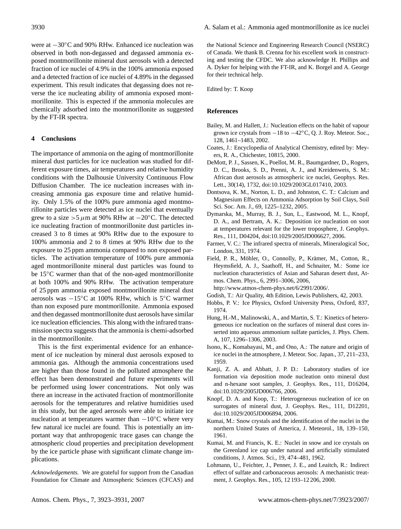were at −30◦C and 90% RHw. Enhanced ice nucleation was observed in both non-degassed and degassed ammonia exposed montmorillonite mineral dust aerosols with a detected fraction of ice nuclei of 4.9% in the 100% ammonia exposed and a detected fraction of ice nuclei of 4.89% in the degassed experiment. This result indicates that degassing does not reverse the ice nucleating ability of ammonia exposed montmorillonite. This is expected if the ammonia molecules are chemically adsorbed into the montmorillonite as suggested by the FT-IR spectra.

# **4 Conclusions**

The importance of ammonia on the aging of montmorillonite mineral dust particles for ice nucleation was studied for different exposure times, air temperatures and relative humidity conditions with the Dalhousie University Continuous Flow Diffusion Chamber. The ice nucleation increases with increasing ammonia gas exposure time and relative humidity. Only 1.5% of the 100% pure ammonia aged montmorillonite particles were detected as ice nuclei that eventually grew to a size >5  $\mu$ m at 90% RHw at −20<sup>°</sup>C. The detected ice nucleating fraction of montmorillonite dust particles increased 3 to 8 times at 90% RHw due to the exposure to 100% ammonia and 2 to 8 times at 90% RHw due to the exposure to 25 ppm ammonia compared to non exposed particles. The activation temperature of 100% pure ammonia aged montmorillonite mineral dust particles was found to be 15◦C warmer than that of the non-aged montmorillonite at both 100% and 90% RHw. The activation temperature of 25 ppm ammonia exposed montmorillonite mineral dust aerosols was −15◦C at 100% RHw, which is 5◦C warmer than non exposed pure montmorillonite. Ammonia exposed and then degassed montmorillonite dust aerosols have similar ice nucleation efficiencies. This along with the infrared transmission spectra suggests that the ammonia is chemi-adsorbed in the montmorillonite.

This is the first experimental evidence for an enhancement of ice nucleation by mineral dust aerosols exposed to ammonia gas. Although the ammonia concentrations used are higher than those found in the polluted atmosphere the effect has been demonstrated and future experiments will be performed using lower concentrations. Not only was there an increase in the activated fraction of montmorillonite aerosols for the temperatures and relative humidities used in this study, but the aged aerosols were able to initiate ice nucleation at temperatures warmer than  $-10\degree C$  where very few natural ice nuclei are found. This is potentially an important way that anthropogenic trace gases can change the atmospheric cloud properties and precipitation development by the ice particle phase with significant climate change implications.

*Acknowledgements.* We are grateful for support from the Canadian Foundation for Climate and Atmospheric Sciences (CFCAS) and the National Science and Engineering Research Council (NSERC) of Canada. We thank B. Crenna for his excellent work in constructing and testing the CFDC. We also acknowledge H. Phillips and A. Dyker for helping with the FT-IR, and K. Borgel and A. George for their technical help.

Edited by: T. Koop

### **References**

- Bailey, M. and Hallett, J.: Nucleation effects on the habit of vapour grown ice crystals from −18 to −42◦C, Q. J. Roy. Meteor. Soc., 128, 1461–1483, 2002.
- Coates, J.: Encyclopedia of Analytical Chemistry, edited by: Meyers, R. A., Chichester, 10815, 2000.
- DeMott, P. J., Sassen, K., Poellot, M. R., Baumgardner, D., Rogers, D. C., Brooks, S. D., Prenni, A. J., and Kreidenweis, S. M.: African dust aerosols as atmospheric ice nuclei, Geophys. Res. Lett., 30(14), 1732, doi:10.1029/2003GL017410, 2003.
- Dontsova, K. M., Norton, L. D., and Johnston, C. T.: Calcium and Magnesium Effects on Ammonia Adsorption by Soil Clays, Soil Sci. Soc. Am. J., 69, 1225–1232, 2005.
- Dymarska, M., Murray, B. J., Sun, L., Eastwood, M. L., Knopf, D. A., and Bertram, A. K.: Deposition ice nucleation on soot at temperatures relevant for the lower troposphere, J. Geophys. Res., 111, D04204, doi:10.1029/2005JD006627, 2006.
- Farmer, V. C.: The infrared spectra of minerals, Mineralogical Soc, London, 331, 1974.
- Field, P. R., Möhler, O., Connolly, P., Krämer, M., Cotton, R., Heymsfield, A. J., Saathoff, H., and Schnaiter, M.: Some ice nucleation characteristics of Asian and Saharan desert dust, Atmos. Chem. Phys., 6, 2991–3006, 2006, [http://www.atmos-chem-phys.net/6/2991/2006/.](http://www.atmos-chem-phys.net/6/2991/2006/)

Godish, T.: Air Quality, 4th Edition, Lewis Publishers, 42, 2003.

- Hobbs, P. V.: Ice Physics, Oxford University Press, Oxford, 837, 1974.
- Hung, H.-M., Malinowski, A., and Martin, S. T.: Kinetics of heterogeneous ice nucleation on the surfaces of mineral dust cores inserted into aqueous ammonium sulfate particles, J. Phys. Chem. A, 107, 1296–1306, 2003.
- Isono, K., Komabayasi, M., and Ono, A.: The nature and origin of ice nuclei in the atmosphere, J. Meteor. Soc. Japan., 37, 211–233, 1959.
- Kanji, Z. A. and Abbatt, J. P. D.: Laboratory studies of ice formation via deposition mode nucleation onto mineral dust and n-hexane soot samples, J. Geophys. Res., 111, D16204, doi:10.1029/2005JD006766, 2006.
- Knopf, D. A. and Koop, T.: Heterogeneous nucleation of ice on surrogates of mineral dust, J. Geophys. Res., 111, D12201, doi:10.1029/2005JD006894, 2006.
- Kumai, M.: Snow crystals and the identification of the nuclei in the northern United States of America, J. Meteorol., 18, 139–150, 1961.
- Kumai, M. and Francis, K. E.: Nuclei in snow and ice crystals on the Greenland ice cap under natural and artificially stimulated conditions, J. Atmos. Sci., 19, 474–481, 1962.
- Lohmann, U., Feichter, J., Penner, J. E., and Leaitch, R.: Indirect effect of sulfate and carbonaceous aerosols: A mechanistic treatment, J. Geophys. Res., 105, 12 193–12 206, 2000.